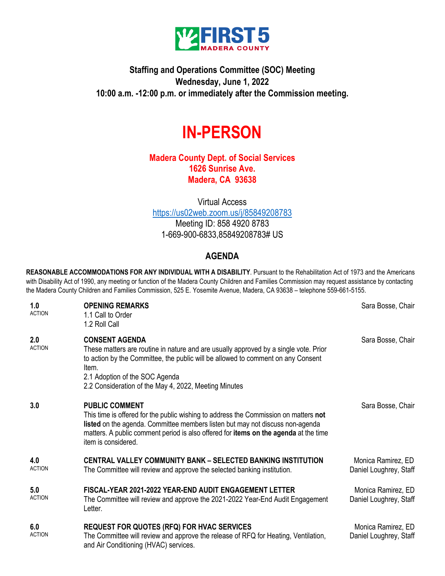

## **Staffing and Operations Committee (SOC) Meeting Wednesday, June 1, 2022 10:00 a.m. -12:00 p.m. or immediately after the Commission meeting.**

## **IN-PERSON**

## **Madera County Dept. of Social Services 1626 Sunrise Ave. Madera, CA 93638**

Virtual Access <https://us02web.zoom.us/j/85849208783> Meeting ID: 858 4920 8783 1-669-900-6833,85849208783# US

## **AGENDA**

**REASONABLE ACCOMMODATIONS FOR ANY INDIVIDUAL WITH A DISABILITY**. Pursuant to the Rehabilitation Act of 1973 and the Americans with Disability Act of 1990, any meeting or function of the Madera County Children and Families Commission may request assistance by contacting the Madera County Children and Families Commission, 525 E. Yosemite Avenue, Madera, CA 93638 – telephone 559-661-5155.

| 1.0<br><b>ACTION</b> | <b>OPENING REMARKS</b><br>1.1 Call to Order<br>1.2 Roll Call                                                                                                                                                                                                                                                                | Sara Bosse, Chair                            |
|----------------------|-----------------------------------------------------------------------------------------------------------------------------------------------------------------------------------------------------------------------------------------------------------------------------------------------------------------------------|----------------------------------------------|
| 2.0<br><b>ACTION</b> | <b>CONSENT AGENDA</b><br>These matters are routine in nature and are usually approved by a single vote. Prior<br>to action by the Committee, the public will be allowed to comment on any Consent<br>Item.<br>2.1 Adoption of the SOC Agenda<br>2.2 Consideration of the May 4, 2022, Meeting Minutes                       | Sara Bosse, Chair                            |
| 3.0                  | <b>PUBLIC COMMENT</b><br>This time is offered for the public wishing to address the Commission on matters not<br><b>listed</b> on the agenda. Committee members listen but may not discuss non-agenda<br>matters. A public comment period is also offered for <b>items on the agenda</b> at the time<br>item is considered. | Sara Bosse, Chair                            |
| 4.0<br><b>ACTION</b> | <b>CENTRAL VALLEY COMMUNITY BANK - SELECTED BANKING INSTITUTION</b><br>The Committee will review and approve the selected banking institution.                                                                                                                                                                              | Monica Ramirez, ED<br>Daniel Loughrey, Staff |
| 5.0<br><b>ACTION</b> | FISCAL-YEAR 2021-2022 YEAR-END AUDIT ENGAGEMENT LETTER<br>The Committee will review and approve the 2021-2022 Year-End Audit Engagement<br>Letter.                                                                                                                                                                          | Monica Ramirez, ED<br>Daniel Loughrey, Staff |
| 6.0<br><b>ACTION</b> | <b>REQUEST FOR QUOTES (RFQ) FOR HVAC SERVICES</b><br>The Committee will review and approve the release of RFQ for Heating, Ventilation,<br>and Air Conditioning (HVAC) services.                                                                                                                                            | Monica Ramirez, ED<br>Daniel Loughrey, Staff |